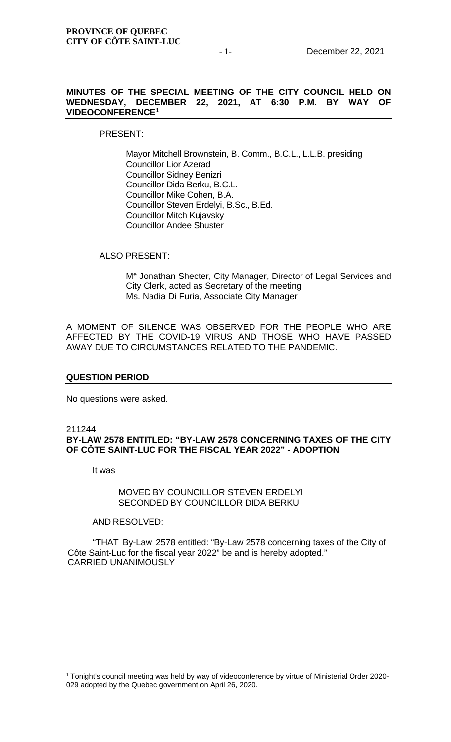# **MINUTES OF THE SPECIAL MEETING OF THE CITY COUNCIL HELD ON WEDNESDAY, DECEMBER 22, 2021, AT 6:30 P.M. BY WAY OF VIDEOCONFERENCE[1](#page-0-0)**

PRESENT:

Mayor Mitchell Brownstein, B. Comm., B.C.L., L.L.B. presiding Councillor Lior Azerad Councillor Sidney Benizri Councillor Dida Berku, B.C.L. Councillor Mike Cohen, B.A. Councillor Steven Erdelyi, B.Sc., B.Ed. Councillor Mitch Kujavsky Councillor Andee Shuster

ALSO PRESENT:

Me Jonathan Shecter, City Manager, Director of Legal Services and City Clerk, acted as Secretary of the meeting Ms. Nadia Di Furia, Associate City Manager

A MOMENT OF SILENCE WAS OBSERVED FOR THE PEOPLE WHO ARE AFFECTED BY THE COVID-19 VIRUS AND THOSE WHO HAVE PASSED AWAY DUE TO CIRCUMSTANCES RELATED TO THE PANDEMIC.

# **QUESTION PERIOD**

No questions were asked.

## 211244 **BY-LAW 2578 ENTITLED: "BY-LAW 2578 CONCERNING TAXES OF THE CITY OF CÔTE SAINT-LUC FOR THE FISCAL YEAR 2022" - ADOPTION**

It was

# MOVED BY COUNCILLOR STEVEN ERDELYI SECONDED BY COUNCILLOR DIDA BERKU

## AND RESOLVED:

"THAT By-Law 2578 entitled: "By-Law 2578 concerning taxes of the City of Côte Saint-Luc for the fiscal year 2022" be and is hereby adopted." CARRIED UNANIMOUSLY

<span id="page-0-0"></span><sup>&</sup>lt;sup>1</sup> Tonight's council meeting was held by way of videoconference by virtue of Ministerial Order 2020-029 adopted by the Quebec government on April 26, 2020.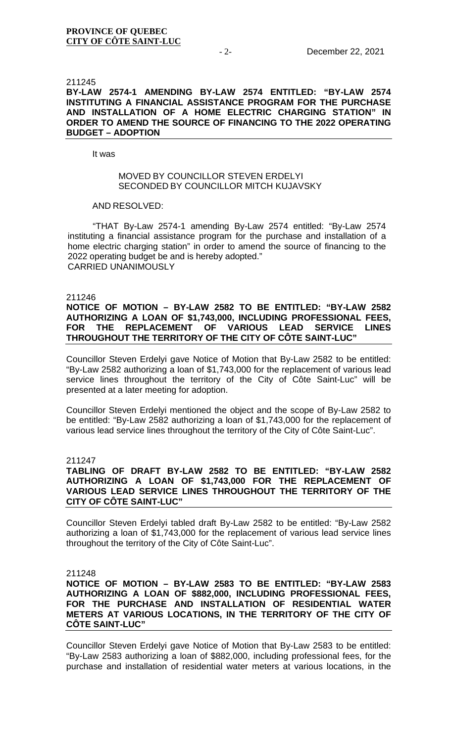#### 211245

# **BY-LAW 2574-1 AMENDING BY-LAW 2574 ENTITLED: "BY-LAW 2574 INSTITUTING A FINANCIAL ASSISTANCE PROGRAM FOR THE PURCHASE AND INSTALLATION OF A HOME ELECTRIC CHARGING STATION" IN ORDER TO AMEND THE SOURCE OF FINANCING TO THE 2022 OPERATING BUDGET – ADOPTION**

It was

## MOVED BY COUNCILLOR STEVEN ERDELYI SECONDED BY COUNCILLOR MITCH KUJJAVSKY

## AND RESOLVED:

"THAT By-Law 2574-1 amending By-Law 2574 entitled: "By-Law 2574 instituting a financial assistance program for the purchase and installation of a home electric charging station" in order to amend the source of financing to the 2022 operating budget be and is hereby adopted." CARRIED UNANIMOUSLY

## 211246

# **NOTICE OF MOTION – BY-LAW 2582 TO BE ENTITLED: "BY-LAW 2582 AUTHORIZING A LOAN OF \$1,743,000, INCLUDING PROFESSIONAL FEES,**  VARIOUS LEAD SERVICE LINES **THROUGHOUT THE TERRITORY OF THE CITY OF CÔTE SAINT-LUC"**

Councillor Steven Erdelyi gave Notice of Motion that By-Law 2582 to be entitled: "By-Law 2582 authorizing a loan of \$1,743,000 for the replacement of various lead service lines throughout the territory of the City of Côte Saint-Luc" will be presented at a later meeting for adoption.

Councillor Steven Erdelyi mentioned the object and the scope of By-Law 2582 to be entitled: "By-Law 2582 authorizing a loan of \$1,743,000 for the replacement of various lead service lines throughout the territory of the City of Côte Saint-Luc".

## 211247

# **TABLING OF DRAFT BY-LAW 2582 TO BE ENTITLED: "BY-LAW 2582 AUTHORIZING A LOAN OF \$1,743,000 FOR THE REPLACEMENT OF VARIOUS LEAD SERVICE LINES THROUGHOUT THE TERRITORY OF THE CITY OF CÔTE SAINT-LUC"**

Councillor Steven Erdelyi tabled draft By-Law 2582 to be entitled: "By-Law 2582 authorizing a loan of \$1,743,000 for the replacement of various lead service lines throughout the territory of the City of Côte Saint-Luc".

## 211248

# **NOTICE OF MOTION – BY-LAW 2583 TO BE ENTITLED: "BY-LAW 2583 AUTHORIZING A LOAN OF \$882,000, INCLUDING PROFESSIONAL FEES, FOR THE PURCHASE AND INSTALLATION OF RESIDENTIAL WATER METERS AT VARIOUS LOCATIONS, IN THE TERRITORY OF THE CITY OF CÔTE SAINT-LUC"**

Councillor Steven Erdelyi gave Notice of Motion that By-Law 2583 to be entitled: "By-Law 2583 authorizing a loan of \$882,000, including professional fees, for the purchase and installation of residential water meters at various locations, in the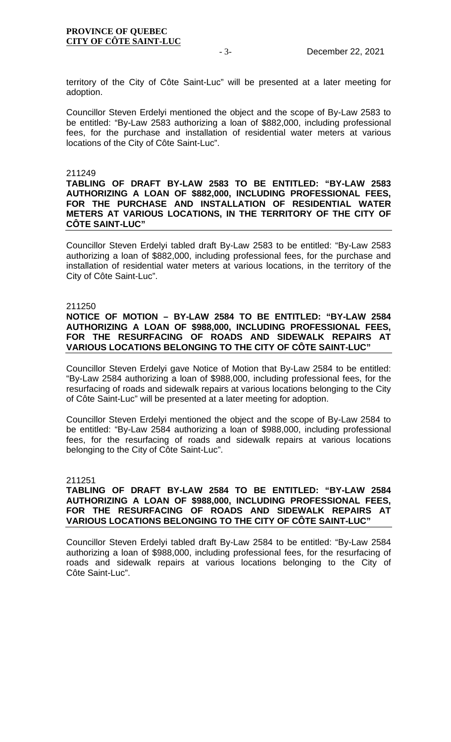territory of the City of Côte Saint-Luc" will be presented at a later meeting for adoption.

Councillor Steven Erdelyi mentioned the object and the scope of By-Law 2583 to be entitled: "By-Law 2583 authorizing a loan of \$882,000, including professional fees, for the purchase and installation of residential water meters at various locations of the City of Côte Saint-Luc".

## 211249

# **TABLING OF DRAFT BY-LAW 2583 TO BE ENTITLED: "BY-LAW 2583 AUTHORIZING A LOAN OF \$882,000, INCLUDING PROFESSIONAL FEES, FOR THE PURCHASE AND INSTALLATION OF RESIDENTIAL WATER METERS AT VARIOUS LOCATIONS, IN THE TERRITORY OF THE CITY OF CÔTE SAINT-LUC"**

Councillor Steven Erdelyi tabled draft By-Law 2583 to be entitled: "By-Law 2583 authorizing a loan of \$882,000, including professional fees, for the purchase and installation of residential water meters at various locations, in the territory of the City of Côte Saint-Luc".

## 211250

# **NOTICE OF MOTION – BY-LAW 2584 TO BE ENTITLED: "BY-LAW 2584 AUTHORIZING A LOAN OF \$988,000, INCLUDING PROFESSIONAL FEES, FOR THE RESURFACING OF ROADS AND SIDEWALK REPAIRS AT VARIOUS LOCATIONS BELONGING TO THE CITY OF CÔTE SAINT-LUC"**

Councillor Steven Erdelyi gave Notice of Motion that By-Law 2584 to be entitled: "By-Law 2584 authorizing a loan of \$988,000, including professional fees, for the resurfacing of roads and sidewalk repairs at various locations belonging to the City of Côte Saint-Luc" will be presented at a later meeting for adoption.

Councillor Steven Erdelyi mentioned the object and the scope of By-Law 2584 to be entitled: "By-Law 2584 authorizing a loan of \$988,000, including professional fees, for the resurfacing of roads and sidewalk repairs at various locations belonging to the City of Côte Saint-Luc".

## 211251

# **TABLING OF DRAFT BY-LAW 2584 TO BE ENTITLED: "BY-LAW 2584 AUTHORIZING A LOAN OF \$988,000, INCLUDING PROFESSIONAL FEES, FOR THE RESURFACING OF ROADS AND SIDEWALK REPAIRS AT VARIOUS LOCATIONS BELONGING TO THE CITY OF CÔTE SAINT-LUC"**

Councillor Steven Erdelyi tabled draft By-Law 2584 to be entitled: "By-Law 2584 authorizing a loan of \$988,000, including professional fees, for the resurfacing of roads and sidewalk repairs at various locations belonging to the City of Côte Saint-Luc".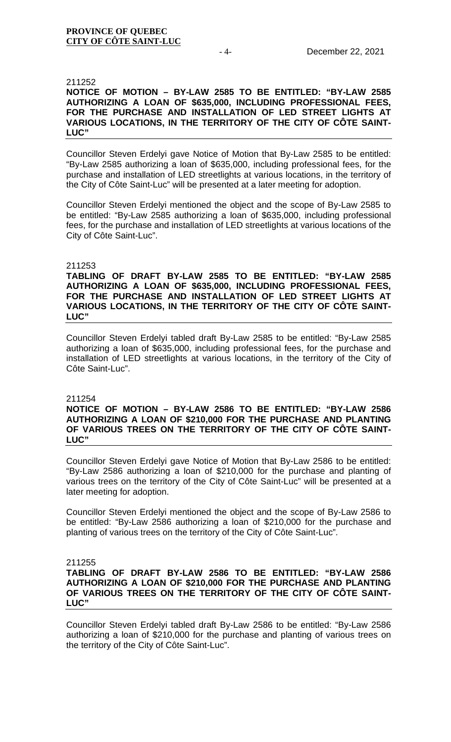## **PROVINCE OF QUEBEC CITY OF CÔTE SAINT-LUC**

### 211252

# **NOTICE OF MOTION – BY-LAW 2585 TO BE ENTITLED: "BY-LAW 2585 AUTHORIZING A LOAN OF \$635,000, INCLUDING PROFESSIONAL FEES, FOR THE PURCHASE AND INSTALLATION OF LED STREET LIGHTS AT VARIOUS LOCATIONS, IN THE TERRITORY OF THE CITY OF CÔTE SAINT-LUC"**

Councillor Steven Erdelyi gave Notice of Motion that By-Law 2585 to be entitled: "By-Law 2585 authorizing a loan of \$635,000, including professional fees, for the purchase and installation of LED streetlights at various locations, in the territory of the City of Côte Saint-Luc" will be presented at a later meeting for adoption.

Councillor Steven Erdelyi mentioned the object and the scope of By-Law 2585 to be entitled: "By-Law 2585 authorizing a loan of \$635,000, including professional fees, for the purchase and installation of LED streetlights at various locations of the City of Côte Saint-Luc".

## 211253

**TABLING OF DRAFT BY-LAW 2585 TO BE ENTITLED: "BY-LAW 2585 AUTHORIZING A LOAN OF \$635,000, INCLUDING PROFESSIONAL FEES, FOR THE PURCHASE AND INSTALLATION OF LED STREET LIGHTS AT VARIOUS LOCATIONS, IN THE TERRITORY OF THE CITY OF CÔTE SAINT-LUC"**

Councillor Steven Erdelyi tabled draft By-Law 2585 to be entitled: "By-Law 2585 authorizing a loan of \$635,000, including professional fees, for the purchase and installation of LED streetlights at various locations, in the territory of the City of Côte Saint-Luc".

#### 211254

## **NOTICE OF MOTION – BY-LAW 2586 TO BE ENTITLED: "BY-LAW 2586 AUTHORIZING A LOAN OF \$210,000 FOR THE PURCHASE AND PLANTING OF VARIOUS TREES ON THE TERRITORY OF THE CITY OF CÔTE SAINT-LUC"**

Councillor Steven Erdelyi gave Notice of Motion that By-Law 2586 to be entitled: "By-Law 2586 authorizing a loan of \$210,000 for the purchase and planting of various trees on the territory of the City of Côte Saint-Luc" will be presented at a later meeting for adoption.

Councillor Steven Erdelyi mentioned the object and the scope of By-Law 2586 to be entitled: "By-Law 2586 authorizing a loan of \$210,000 for the purchase and planting of various trees on the territory of the City of Côte Saint-Luc".

211255

# **TABLING OF DRAFT BY-LAW 2586 TO BE ENTITLED: "BY-LAW 2586 AUTHORIZING A LOAN OF \$210,000 FOR THE PURCHASE AND PLANTING OF VARIOUS TREES ON THE TERRITORY OF THE CITY OF CÔTE SAINT-LUC"**

Councillor Steven Erdelyi tabled draft By-Law 2586 to be entitled: "By-Law 2586 authorizing a loan of \$210,000 for the purchase and planting of various trees on the territory of the City of Côte Saint-Luc".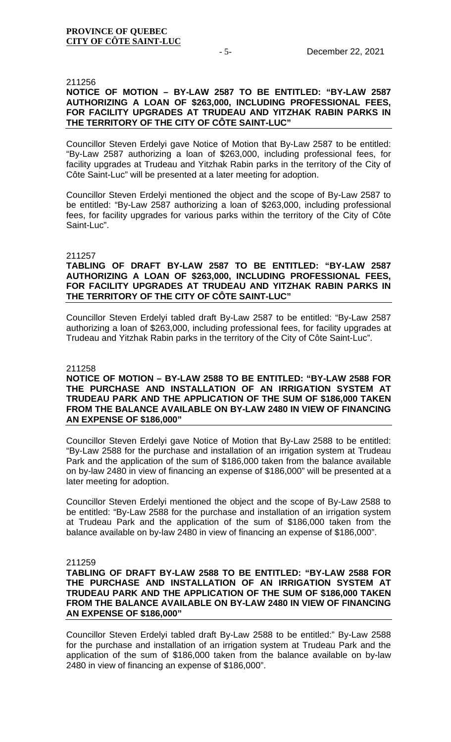#### 211256

# **NOTICE OF MOTION – BY-LAW 2587 TO BE ENTITLED: "BY-LAW 2587 AUTHORIZING A LOAN OF \$263,000, INCLUDING PROFESSIONAL FEES, FOR FACILITY UPGRADES AT TRUDEAU AND YITZHAK RABIN PARKS IN THE TERRITORY OF THE CITY OF CÔTE SAINT-LUC"**

Councillor Steven Erdelyi gave Notice of Motion that By-Law 2587 to be entitled: "By-Law 2587 authorizing a loan of \$263,000, including professional fees, for facility upgrades at Trudeau and Yitzhak Rabin parks in the territory of the City of Côte Saint-Luc" will be presented at a later meeting for adoption.

Councillor Steven Erdelyi mentioned the object and the scope of By-Law 2587 to be entitled: "By-Law 2587 authorizing a loan of \$263,000, including professional fees, for facility upgrades for various parks within the territory of the City of Côte Saint-Luc".

#### 211257

# **TABLING OF DRAFT BY-LAW 2587 TO BE ENTITLED: "BY-LAW 2587 AUTHORIZING A LOAN OF \$263,000, INCLUDING PROFESSIONAL FEES, FOR FACILITY UPGRADES AT TRUDEAU AND YITZHAK RABIN PARKS IN THE TERRITORY OF THE CITY OF CÔTE SAINT-LUC"**

Councillor Steven Erdelyi tabled draft By-Law 2587 to be entitled: "By-Law 2587 authorizing a loan of \$263,000, including professional fees, for facility upgrades at Trudeau and Yitzhak Rabin parks in the territory of the City of Côte Saint-Luc".

#### 211258

# **NOTICE OF MOTION – BY-LAW 2588 TO BE ENTITLED: "BY-LAW 2588 FOR THE PURCHASE AND INSTALLATION OF AN IRRIGATION SYSTEM AT TRUDEAU PARK AND THE APPLICATION OF THE SUM OF \$186,000 TAKEN FROM THE BALANCE AVAILABLE ON BY-LAW 2480 IN VIEW OF FINANCING AN EXPENSE OF \$186,000"**

Councillor Steven Erdelyi gave Notice of Motion that By-Law 2588 to be entitled: "By-Law 2588 for the purchase and installation of an irrigation system at Trudeau Park and the application of the sum of \$186,000 taken from the balance available on by-law 2480 in view of financing an expense of \$186,000" will be presented at a later meeting for adoption.

Councillor Steven Erdelyi mentioned the object and the scope of By-Law 2588 to be entitled: "By-Law 2588 for the purchase and installation of an irrigation system at Trudeau Park and the application of the sum of \$186,000 taken from the balance available on by-law 2480 in view of financing an expense of \$186,000".

### 211259

# **TABLING OF DRAFT BY-LAW 2588 TO BE ENTITLED: "BY-LAW 2588 FOR THE PURCHASE AND INSTALLATION OF AN IRRIGATION SYSTEM AT TRUDEAU PARK AND THE APPLICATION OF THE SUM OF \$186,000 TAKEN FROM THE BALANCE AVAILABLE ON BY-LAW 2480 IN VIEW OF FINANCING AN EXPENSE OF \$186,000"**

Councillor Steven Erdelyi tabled draft By-Law 2588 to be entitled:" By-Law 2588 for the purchase and installation of an irrigation system at Trudeau Park and the application of the sum of \$186,000 taken from the balance available on by-law 2480 in view of financing an expense of \$186,000".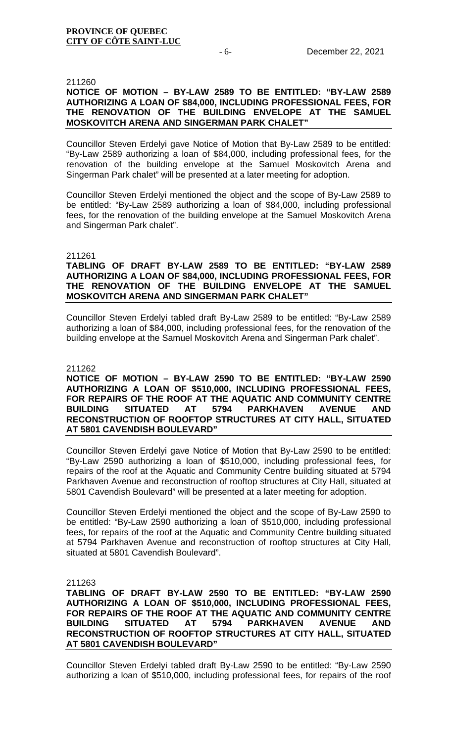### 211260

# **NOTICE OF MOTION – BY-LAW 2589 TO BE ENTITLED: "BY-LAW 2589 AUTHORIZING A LOAN OF \$84,000, INCLUDING PROFESSIONAL FEES, FOR THE RENOVATION OF THE BUILDING ENVELOPE AT THE SAMUEL MOSKOVITCH ARENA AND SINGERMAN PARK CHALET"**

Councillor Steven Erdelyi gave Notice of Motion that By-Law 2589 to be entitled: "By-Law 2589 authorizing a loan of \$84,000, including professional fees, for the renovation of the building envelope at the Samuel Moskovitch Arena and Singerman Park chalet" will be presented at a later meeting for adoption.

Councillor Steven Erdelyi mentioned the object and the scope of By-Law 2589 to be entitled: "By-Law 2589 authorizing a loan of \$84,000, including professional fees, for the renovation of the building envelope at the Samuel Moskovitch Arena and Singerman Park chalet".

## 211261

# **TABLING OF DRAFT BY-LAW 2589 TO BE ENTITLED: "BY-LAW 2589 AUTHORIZING A LOAN OF \$84,000, INCLUDING PROFESSIONAL FEES, FOR THE RENOVATION OF THE BUILDING ENVELOPE AT THE SAMUEL MOSKOVITCH ARENA AND SINGERMAN PARK CHALET"**

Councillor Steven Erdelyi tabled draft By-Law 2589 to be entitled: "By-Law 2589 authorizing a loan of \$84,000, including professional fees, for the renovation of the building envelope at the Samuel Moskovitch Arena and Singerman Park chalet".

#### 211262

**NOTICE OF MOTION – BY-LAW 2590 TO BE ENTITLED: "BY-LAW 2590 AUTHORIZING A LOAN OF \$510,000, INCLUDING PROFESSIONAL FEES, FOR REPAIRS OF THE ROOF AT THE AQUATIC AND COMMUNITY CENTRE BUILDING SITUATED AT 5794 PARKHAVEN AVENUE AND RECONSTRUCTION OF ROOFTOP STRUCTURES AT CITY HALL, SITUATED AT 5801 CAVENDISH BOULEVARD"** 

Councillor Steven Erdelyi gave Notice of Motion that By-Law 2590 to be entitled: "By-Law 2590 authorizing a loan of \$510,000, including professional fees, for repairs of the roof at the Aquatic and Community Centre building situated at 5794 Parkhaven Avenue and reconstruction of rooftop structures at City Hall, situated at 5801 Cavendish Boulevard" will be presented at a later meeting for adoption.

Councillor Steven Erdelyi mentioned the object and the scope of By-Law 2590 to be entitled: "By-Law 2590 authorizing a loan of \$510,000, including professional fees, for repairs of the roof at the Aquatic and Community Centre building situated at 5794 Parkhaven Avenue and reconstruction of rooftop structures at City Hall, situated at 5801 Cavendish Boulevard".

211263

**TABLING OF DRAFT BY-LAW 2590 TO BE ENTITLED: "BY-LAW 2590 AUTHORIZING A LOAN OF \$510,000, INCLUDING PROFESSIONAL FEES, FOR REPAIRS OF THE ROOF AT THE AQUATIC AND COMMUNITY CENTRE BUILDING SITUATED AT 5794 PARKHAVEN AVENUE AND RECONSTRUCTION OF ROOFTOP STRUCTURES AT CITY HALL, SITUATED AT 5801 CAVENDISH BOULEVARD"**

Councillor Steven Erdelyi tabled draft By-Law 2590 to be entitled: "By-Law 2590 authorizing a loan of \$510,000, including professional fees, for repairs of the roof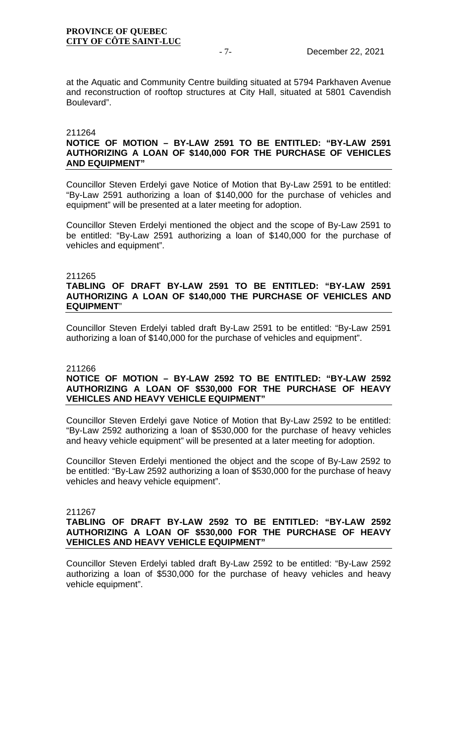## **PROVINCE OF QUEBEC CITY OF CÔTE SAINT-LUC**

at the Aquatic and Community Centre building situated at 5794 Parkhaven Avenue and reconstruction of rooftop structures at City Hall, situated at 5801 Cavendish Boulevard".

# 211264

# **NOTICE OF MOTION – BY-LAW 2591 TO BE ENTITLED: "BY-LAW 2591 AUTHORIZING A LOAN OF \$140,000 FOR THE PURCHASE OF VEHICLES AND EQUIPMENT"**

Councillor Steven Erdelyi gave Notice of Motion that By-Law 2591 to be entitled: "By-Law 2591 authorizing a loan of \$140,000 for the purchase of vehicles and equipment" will be presented at a later meeting for adoption.

Councillor Steven Erdelyi mentioned the object and the scope of By-Law 2591 to be entitled: "By-Law 2591 authorizing a loan of \$140,000 for the purchase of vehicles and equipment".

## 211265

# **TABLING OF DRAFT BY-LAW 2591 TO BE ENTITLED: "BY-LAW 2591 AUTHORIZING A LOAN OF \$140,000 THE PURCHASE OF VEHICLES AND EQUIPMENT**"

Councillor Steven Erdelyi tabled draft By-Law 2591 to be entitled: "By-Law 2591 authorizing a loan of \$140,000 for the purchase of vehicles and equipment".

## 211266

## **NOTICE OF MOTION – BY-LAW 2592 TO BE ENTITLED: "BY-LAW 2592 AUTHORIZING A LOAN OF \$530,000 FOR THE PURCHASE OF HEAVY VEHICLES AND HEAVY VEHICLE EQUIPMENT"**

Councillor Steven Erdelyi gave Notice of Motion that By-Law 2592 to be entitled: "By-Law 2592 authorizing a loan of \$530,000 for the purchase of heavy vehicles and heavy vehicle equipment" will be presented at a later meeting for adoption.

Councillor Steven Erdelyi mentioned the object and the scope of By-Law 2592 to be entitled: "By-Law 2592 authorizing a loan of \$530,000 for the purchase of heavy vehicles and heavy vehicle equipment".

## 211267

# **TABLING OF DRAFT BY-LAW 2592 TO BE ENTITLED: "BY-LAW 2592 AUTHORIZING A LOAN OF \$530,000 FOR THE PURCHASE OF HEAVY VEHICLES AND HEAVY VEHICLE EQUIPMENT"**

Councillor Steven Erdelyi tabled draft By-Law 2592 to be entitled: "By-Law 2592 authorizing a loan of \$530,000 for the purchase of heavy vehicles and heavy vehicle equipment".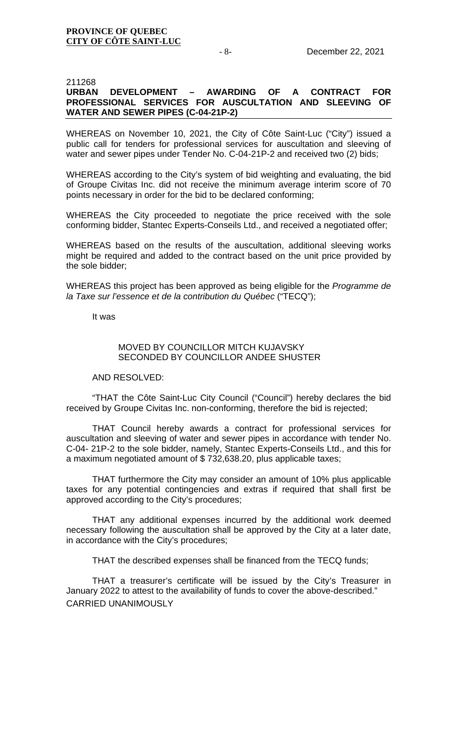# 211268<br>**URBAN URBAN DEVELOPMENT – AWARDING OF A CONTRACT FOR PROFESSIONAL SERVICES FOR AUSCULTATION AND SLEEVING OF WATER AND SEWER PIPES (C-04-21P-2)**

WHEREAS on November 10, 2021, the City of Côte Saint-Luc ("City") issued a public call for tenders for professional services for auscultation and sleeving of water and sewer pipes under Tender No. C-04-21P-2 and received two (2) bids;

WHEREAS according to the City's system of bid weighting and evaluating, the bid of Groupe Civitas Inc. did not receive the minimum average interim score of 70 points necessary in order for the bid to be declared conforming;

WHEREAS the City proceeded to negotiate the price received with the sole conforming bidder, Stantec Experts-Conseils Ltd., and received a negotiated offer;

WHEREAS based on the results of the auscultation, additional sleeving works might be required and added to the contract based on the unit price provided by the sole bidder;

WHEREAS this project has been approved as being eligible for the *Programme de la Taxe sur l'essence et de la contribution du Québec* ("TECQ");

It was

## MOVED BY COUNCILLOR MITCH KUJAVSKY SECONDED BY COUNCILLOR ANDEE SHUSTER

# AND RESOLVED:

"THAT the Côte Saint-Luc City Council ("Council") hereby declares the bid received by Groupe Civitas Inc. non-conforming, therefore the bid is rejected;

THAT Council hereby awards a contract for professional services for auscultation and sleeving of water and sewer pipes in accordance with tender No. C-04- 21P-2 to the sole bidder, namely, Stantec Experts-Conseils Ltd., and this for a maximum negotiated amount of \$ 732,638.20, plus applicable taxes;

THAT furthermore the City may consider an amount of 10% plus applicable taxes for any potential contingencies and extras if required that shall first be approved according to the City's procedures;

THAT any additional expenses incurred by the additional work deemed necessary following the auscultation shall be approved by the City at a later date, in accordance with the City's procedures;

THAT the described expenses shall be financed from the TECQ funds;

THAT a treasurer's certificate will be issued by the City's Treasurer in January 2022 to attest to the availability of funds to cover the above-described." CARRIED UNANIMOUSLY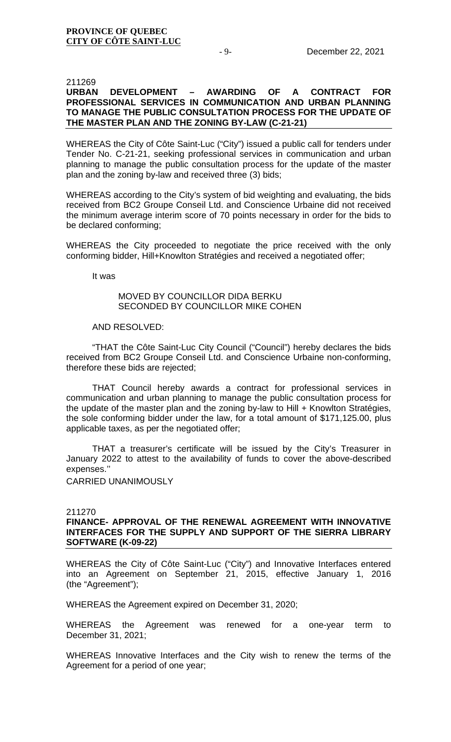# 211269<br>URBAN DEVELOPMENT **URBAN DEVELOPMENT – AWARDING OF A CONTRACT FOR PROFESSIONAL SERVICES IN COMMUNICATION AND URBAN PLANNING TO MANAGE THE PUBLIC CONSULTATION PROCESS FOR THE UPDATE OF THE MASTER PLAN AND THE ZONING BY-LAW (C-21-21)**

WHEREAS the City of Côte Saint-Luc ("City") issued a public call for tenders under Tender No. C-21-21, seeking professional services in communication and urban planning to manage the public consultation process for the update of the master plan and the zoning by-law and received three (3) bids;

WHEREAS according to the City's system of bid weighting and evaluating, the bids received from BC2 Groupe Conseil Ltd. and Conscience Urbaine did not received the minimum average interim score of 70 points necessary in order for the bids to be declared conforming;

WHEREAS the City proceeded to negotiate the price received with the only conforming bidder, Hill+Knowlton Stratégies and received a negotiated offer;

It was

## MOVED BY COUNCILLOR DIDA BERKU SECONDED BY COUNCILLOR MIKE COHEN

## AND RESOLVED:

"THAT the Côte Saint-Luc City Council ("Council") hereby declares the bids received from BC2 Groupe Conseil Ltd. and Conscience Urbaine non-conforming, therefore these bids are rejected;

THAT Council hereby awards a contract for professional services in communication and urban planning to manage the public consultation process for the update of the master plan and the zoning by-law to Hill + Knowlton Stratégies, the sole conforming bidder under the law, for a total amount of \$171,125.00, plus applicable taxes, as per the negotiated offer;

THAT a treasurer's certificate will be issued by the City's Treasurer in January 2022 to attest to the availability of funds to cover the above-described expenses.''

CARRIED UNANIMOUSLY

### 211270

# **FINANCE- APPROVAL OF THE RENEWAL AGREEMENT WITH INNOVATIVE INTERFACES FOR THE SUPPLY AND SUPPORT OF THE SIERRA LIBRARY SOFTWARE (K-09-22)**

WHEREAS the City of Côte Saint-Luc ("City") and Innovative Interfaces entered into an Agreement on September 21, 2015, effective January 1, 2016 (the "Agreement");

WHEREAS the Agreement expired on December 31, 2020;

WHEREAS the Agreement was renewed for a one-year term to December 31, 2021;

WHEREAS Innovative Interfaces and the City wish to renew the terms of the Agreement for a period of one year;